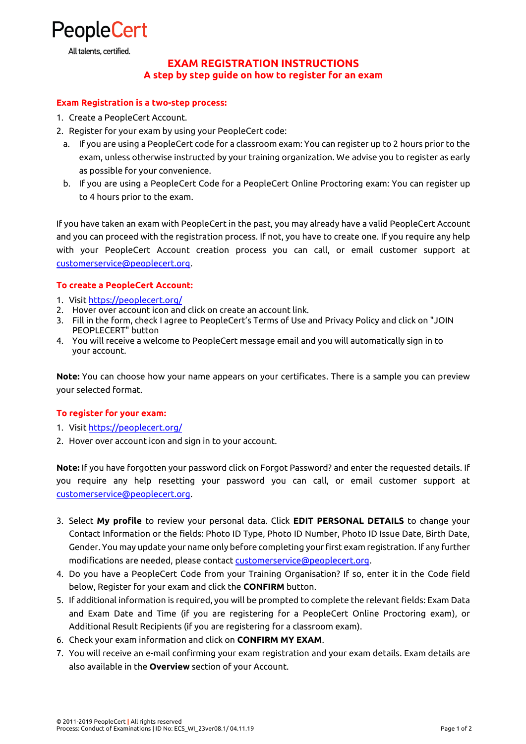

All talents, certified.

# **EXAM REGISTRATION INSTRUCTIONS A step by step guide on how to register for an exam**

### **Exam Registration is a two-step process:**

- 1. Create a PeopleCert Account.
- 2. Register for your exam by using your PeopleCert code:
	- a. If you are using a PeopleCert code for a classroom exam: You can register up to 2 hours prior to the exam, unless otherwise instructed by your training organization. We advise you to register as early as possible for your convenience.
	- b. If you are using a PeopleCert Code for a PeopleCert Online Proctoring exam: You can register up to 4 hours prior to the exam.

If you have taken an exam with PeopleCert in the past, you may already have a valid PeopleCert Account and you can proceed with the registration process. If not, you have to create one. If you require any help with your PeopleCert Account creation process you can call, or email customer support at [customerservice@peoplecert.org.](mailto:customerservice@peoplecert.org) 

### **To create a PeopleCert Account:**

- 1. Visit [https://peoplecert.org/](http://peoplecert.org/)
- 2. Hover over account icon and click on create an account link.
- 3. Fill in the form, check I agree to PeopleCert's Terms of Use and Privacy Policy and click on "JOIN PEOPLECERT" button
- 4. You will receive a welcome to PeopleCert message email and you will automatically sign in to your account.

**Note:** You can choose how your name appears on your certificates. Τhere is a sample you can preview your selected format.

### **To register for your exam:**

- 1. Visi[t https://peoplecert.org/](http://peoplecert.org/)
- 2. Hover over account icon and sign in to your account.

**Note:** If you have forgotten your password click on Forgot Password? and enter the requested details. If you require any help resetting your password you can call, or email customer support at [customerservice@peoplecert.org.](mailto:customerservice@peoplecert.org)

- 3. Select **My profile** to review your personal data. Click **EDIT PERSONAL DETAILS** to change your Contact Information or the fields: Photo ID Type, Photo ID Number, Photo ID Issue Date, Birth Date, Gender. You may update your name only before completing your first exam registration. If any further modifications are needed, please contact [customerservice@peoplecert.org.](mailto:customerservice@peoplecert.org)
- 4. Do you have a PeopleCert Code from your Training Organisation? If so, enter it in the Code field below, Register for your exam and click the **CONFIRM** button.
- 5. If additional information is required, you will be prompted to complete the relevant fields: Exam Data and Exam Date and Time (if you are registering for a PeopleCert Online Proctoring exam), or Additional Result Recipients (if you are registering for a classroom exam).
- 6. Check your exam information and click on **CONFIRM MY EXAM**.
- 7. You will receive an e-mail confirming your exam registration and your exam details. Exam details are also available in the **Overview** section of your Account.